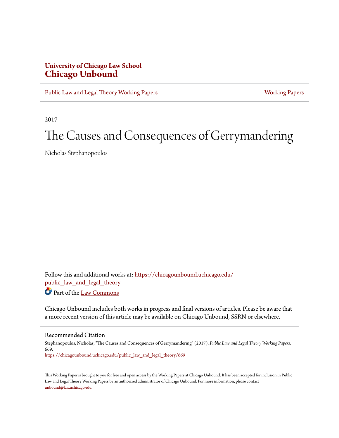# **University of Chicago Law School [Chicago Unbound](https://chicagounbound.uchicago.edu?utm_source=chicagounbound.uchicago.edu%2Fpublic_law_and_legal_theory%2F669&utm_medium=PDF&utm_campaign=PDFCoverPages)**

[Public Law and Legal Theory Working Papers](https://chicagounbound.uchicago.edu/public_law_and_legal_theory?utm_source=chicagounbound.uchicago.edu%2Fpublic_law_and_legal_theory%2F669&utm_medium=PDF&utm_campaign=PDFCoverPages) **[Working Papers](https://chicagounbound.uchicago.edu/working_papers?utm_source=chicagounbound.uchicago.edu%2Fpublic_law_and_legal_theory%2F669&utm_medium=PDF&utm_campaign=PDFCoverPages)** Working Papers

2017

# The Causes and Consequences of Gerrymandering

Nicholas Stephanopoulos

Follow this and additional works at: [https://chicagounbound.uchicago.edu/](https://chicagounbound.uchicago.edu/public_law_and_legal_theory?utm_source=chicagounbound.uchicago.edu%2Fpublic_law_and_legal_theory%2F669&utm_medium=PDF&utm_campaign=PDFCoverPages) public law and legal theory Part of the [Law Commons](http://network.bepress.com/hgg/discipline/578?utm_source=chicagounbound.uchicago.edu%2Fpublic_law_and_legal_theory%2F669&utm_medium=PDF&utm_campaign=PDFCoverPages)

Chicago Unbound includes both works in progress and final versions of articles. Please be aware that a more recent version of this article may be available on Chicago Unbound, SSRN or elsewhere.

Recommended Citation

Stephanopoulos, Nicholas, "The Causes and Consequences of Gerrymandering" (2017). *Public Law and Legal Theory Working Papers*. 669.

[https://chicagounbound.uchicago.edu/public\\_law\\_and\\_legal\\_theory/669](https://chicagounbound.uchicago.edu/public_law_and_legal_theory/669?utm_source=chicagounbound.uchicago.edu%2Fpublic_law_and_legal_theory%2F669&utm_medium=PDF&utm_campaign=PDFCoverPages)

This Working Paper is brought to you for free and open access by the Working Papers at Chicago Unbound. It has been accepted for inclusion in Public Law and Legal Theory Working Papers by an authorized administrator of Chicago Unbound. For more information, please contact [unbound@law.uchicago.edu](mailto:unbound@law.uchicago.edu).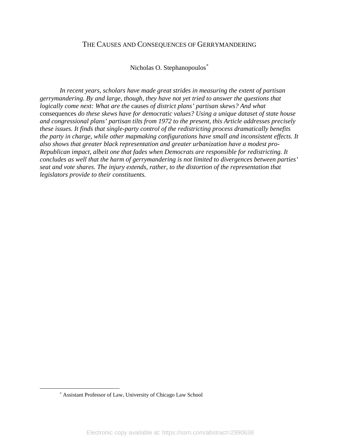## THE CAUSES AND CONSEQUENCES OF GERRYMANDERING

Nicholas O. Stephanopoulos[\\*](#page-1-0)

*In recent years, scholars have made great strides in measuring the extent of partisan gerrymandering. By and large, though, they have not yet tried to answer the questions that logically come next: What are the* causes *of district plans' partisan skews? And what*  consequences *do these skews have for democratic values? Using a unique dataset of state house and congressional plans' partisan tilts from 1972 to the present, this Article addresses precisely these issues. It finds that single-party control of the redistricting process dramatically benefits the party in charge, while other mapmaking configurations have small and inconsistent effects. It also shows that greater black representation and greater urbanization have a modest pro-Republican impact, albeit one that fades when Democrats are responsible for redistricting. It concludes as well that the harm of gerrymandering is not limited to divergences between parties' seat and vote shares. The injury extends, rather, to the distortion of the representation that legislators provide to their constituents.*

<span id="page-1-0"></span> <sup>\*</sup> Assistant Professor of Law, University of Chicago Law School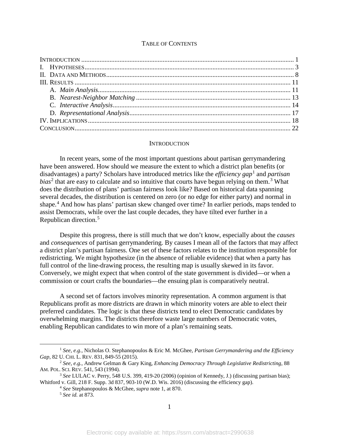## TABLE OF CONTENTS

## <span id="page-2-1"></span>**INTRODUCTION**

<span id="page-2-7"></span><span id="page-2-0"></span>In recent years, some of the most important questions about partisan gerrymandering have been answered. How should we measure the extent to which a district plan benefits (or disadvantages) a party? Scholars have introduced metrics like the *efficiency gap*<sup>[1](#page-2-2)</sup> and *partisan bias*<sup>[2](#page-2-3)</sup> that are easy to calculate and so intuitive that courts have begun relying on them.<sup>[3](#page-2-4)</sup> What does the distribution of plans' partisan fairness look like? Based on historical data spanning several decades, the distribution is centered on zero (or no edge for either party) and normal in shape.<sup>[4](#page-2-5)</sup> And how has plans' partisan skew changed over time? In earlier periods, maps tended to assist Democrats, while over the last couple decades, they have tilted ever further in a Republican direction.[5](#page-2-6)

Despite this progress, there is still much that we don't know, especially about the *causes* and *consequences* of partisan gerrymandering. By causes I mean all of the factors that may affect a district plan's partisan fairness. One set of these factors relates to the institution responsible for redistricting. We might hypothesize (in the absence of reliable evidence) that when a party has full control of the line-drawing process, the resulting map is usually skewed in its favor. Conversely, we might expect that when control of the state government is divided—or when a commission or court crafts the boundaries—the ensuing plan is comparatively neutral.

A second set of factors involves minority representation. A common argument is that Republicans profit as more districts are drawn in which minority voters are able to elect their preferred candidates. The logic is that these districts tend to elect Democratic candidates by overwhelming margins. The districts therefore waste large numbers of Democratic votes, enabling Republican candidates to win more of a plan's remaining seats.

<span id="page-2-2"></span> <sup>1</sup> *See, e.g.*, Nicholas O. Stephanopoulos & Eric M. McGhee, *Partisan Gerrymandering and the Efficiency Gap*, 82 U. CHI. L. REV. 831, 849-55 (2015).

<span id="page-2-3"></span><sup>2</sup> *See, e.g.*, Andrew Gelman & Gary King, *Enhancing Democracy Through Legislative Redistricting*, 88 AM. POL. SCI. REV. 541, 543 (1994).

<span id="page-2-6"></span><span id="page-2-5"></span><span id="page-2-4"></span><sup>3</sup> *See* LULAC v. Perry, 548 U.S. 399, 419-20 (2006) (opinion of Kennedy, J.) (discussing partisan bias); Whitford v. Gill, 218 F. Supp. 3d 837, 903-10 (W.D. Wis. 2016) (discussing the efficiency gap).

<sup>4</sup> *See* Stephanopoulos & McGhee, *supra* note [1,](#page-2-1) at 870.

<sup>5</sup> *See id.* at 873.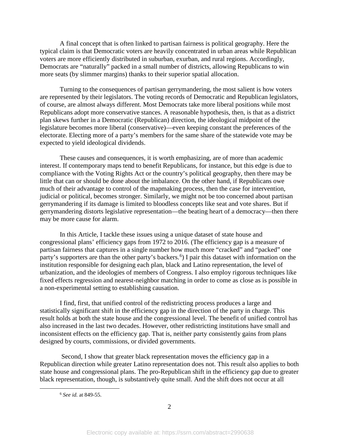A final concept that is often linked to partisan fairness is political geography. Here the typical claim is that Democratic voters are heavily concentrated in urban areas while Republican voters are more efficiently distributed in suburban, exurban, and rural regions. Accordingly, Democrats are "naturally" packed in a small number of districts, allowing Republicans to win more seats (by slimmer margins) thanks to their superior spatial allocation.

Turning to the consequences of partisan gerrymandering, the most salient is how voters are represented by their legislators. The voting records of Democratic and Republican legislators, of course, are almost always different. Most Democrats take more liberal positions while most Republicans adopt more conservative stances. A reasonable hypothesis, then, is that as a district plan skews further in a Democratic (Republican) direction, the ideological midpoint of the legislature becomes more liberal (conservative)—even keeping constant the preferences of the electorate. Electing more of a party's members for the same share of the statewide vote may be expected to yield ideological dividends.

These causes and consequences, it is worth emphasizing, are of more than academic interest. If contemporary maps tend to benefit Republicans, for instance, but this edge is due to compliance with the Voting Rights Act or the country's political geography, then there may be little that can or should be done about the imbalance. On the other hand, if Republicans owe much of their advantage to control of the mapmaking process, then the case for intervention, judicial or political, becomes stronger. Similarly, we might not be too concerned about partisan gerrymandering if its damage is limited to bloodless concepts like seat and vote shares. But if gerrymandering distorts legislative representation—the beating heart of a democracy—then there may be more cause for alarm.

In this Article, I tackle these issues using a unique dataset of state house and congressional plans' efficiency gaps from 1972 to 2016. (The efficiency gap is a measure of partisan fairness that captures in a single number how much more "cracked" and "packed" one party's supporters are than the other party's backers.<sup>[6](#page-3-0)</sup>) I pair this dataset with information on the institution responsible for designing each plan, black and Latino representation, the level of urbanization, and the ideologies of members of Congress. I also employ rigorous techniques like fixed effects regression and nearest-neighbor matching in order to come as close as is possible in a non-experimental setting to establishing causation.

I find, first, that unified control of the redistricting process produces a large and statistically significant shift in the efficiency gap in the direction of the party in charge. This result holds at both the state house and the congressional level. The benefit of unified control has also increased in the last two decades. However, other redistricting institutions have small and inconsistent effects on the efficiency gap. That is, neither party consistently gains from plans designed by courts, commissions, or divided governments.

<span id="page-3-0"></span>Second, I show that greater black representation moves the efficiency gap in a Republican direction while greater Latino representation does not. This result also applies to both state house and congressional plans. The pro-Republican shift in the efficiency gap due to greater black representation, though, is substantively quite small. And the shift does not occur at all

 <sup>6</sup> *See id.* at 849-55.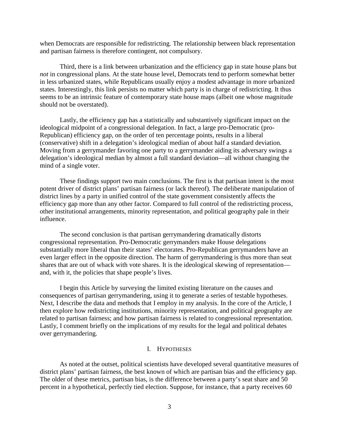when Democrats are responsible for redistricting. The relationship between black representation and partisan fairness is therefore contingent, not compulsory.

Third, there is a link between urbanization and the efficiency gap in state house plans but *not* in congressional plans. At the state house level, Democrats tend to perform somewhat better in less urbanized states, while Republicans usually enjoy a modest advantage in more urbanized states. Interestingly, this link persists no matter which party is in charge of redistricting. It thus seems to be an intrinsic feature of contemporary state house maps (albeit one whose magnitude should not be overstated).

Lastly, the efficiency gap has a statistically and substantively significant impact on the ideological midpoint of a congressional delegation. In fact, a large pro-Democratic (pro-Republican) efficiency gap, on the order of ten percentage points, results in a liberal (conservative) shift in a delegation's ideological median of about half a standard deviation. Moving from a gerrymander favoring one party to a gerrymander aiding its adversary swings a delegation's ideological median by almost a full standard deviation—all without changing the mind of a single voter.

These findings support two main conclusions. The first is that partisan intent is the most potent driver of district plans' partisan fairness (or lack thereof). The deliberate manipulation of district lines by a party in unified control of the state government consistently affects the efficiency gap more than any other factor. Compared to full control of the redistricting process, other institutional arrangements, minority representation, and political geography pale in their influence.

The second conclusion is that partisan gerrymandering dramatically distorts congressional representation. Pro-Democratic gerrymanders make House delegations substantially more liberal than their states' electorates. Pro-Republican gerrymanders have an even larger effect in the opposite direction. The harm of gerrymandering is thus more than seat shares that are out of whack with vote shares. It is the ideological skewing of representation and, with it, the policies that shape people's lives.

I begin this Article by surveying the limited existing literature on the causes and consequences of partisan gerrymandering, using it to generate a series of testable hypotheses. Next, I describe the data and methods that I employ in my analysis. In the core of the Article, I then explore how redistricting institutions, minority representation, and political geography are related to partisan fairness; and how partisan fairness is related to congressional representation. Lastly, I comment briefly on the implications of my results for the legal and political debates over gerrymandering.

#### I. HYPOTHESES

<span id="page-4-0"></span>As noted at the outset, political scientists have developed several quantitative measures of district plans' partisan fairness, the best known of which are partisan bias and the efficiency gap. The older of these metrics, partisan bias, is the difference between a party's seat share and 50 percent in a hypothetical, perfectly tied election. Suppose, for instance, that a party receives 60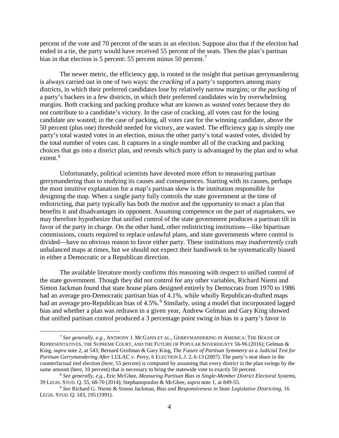<span id="page-5-4"></span>percent of the vote and 70 percent of the seats in an election. Suppose also that if the election had ended in a tie, the party would have received 55 percent of the seats. Then the plan's partisan bias in that election is 5 percent: 55 percent minus 50 percent.<sup>[7](#page-5-0)</sup>

The newer metric, the efficiency gap, is rooted in the insight that partisan gerrymandering is always carried out in one of two ways: the *cracking* of a party's supporters among many districts, in which their preferred candidates lose by relatively narrow margins; or the *packing* of a party's backers in a few districts, in which their preferred candidates win by overwhelming margins. Both cracking and packing produce what are known as *wasted votes* because they do not contribute to a candidate's victory. In the case of cracking, all votes cast for the losing candidate are wasted; in the case of packing, all votes cast for the winning candidate, above the 50 percent (plus one) threshold needed for victory, are wasted. The efficiency gap is simply one party's total wasted votes in an election, minus the other party's total wasted votes, divided by the total number of votes cast. It captures in a single number all of the cracking and packing choices that go into a district plan, and reveals which party is advantaged by the plan and to what  $extent.8$  $extent.8$ 

Unfortunately, political scientists have devoted more effort to measuring partisan gerrymandering than to studying its causes and consequences. Starting with its causes, perhaps the most intuitive explanation for a map's partisan skew is the institution responsible for designing the map. When a single party fully controls the state government at the time of redistricting, that party typically has both the motive and the opportunity to enact a plan that benefits it and disadvantages its opponent. Assuming competence on the part of mapmakers, we may therefore hypothesize that unified control of the state government produces a partisan tilt in favor of the party in charge. On the other hand, other redistricting institutions—like bipartisan commissions, courts required to replace unlawful plans, and state governments where control is divided—have no obvious reason to favor either party. These institutions may *inadvertently* craft unbalanced maps at times, but we should not expect their handiwork to be systematically biased in either a Democratic or a Republican direction.

<span id="page-5-3"></span>The available literature mostly confirms this reasoning with respect to unified control of the state government. Though they did not control for any other variables, Richard Niemi and Simon Jackman found that state house plans designed entirely by Democrats from 1970 to 1986 had an average pro-Democratic partisan bias of 4.1%, while wholly Republican-drafted maps had an average pro-Republican bias of 4.5%.<sup>[9](#page-5-2)</sup> Similarly, using a model that incorporated lagged bias and whether a plan was redrawn in a given year, Andrew Gelman and Gary King showed that unified partisan control produced a 3 percentage point swing in bias in a party's favor in

<span id="page-5-0"></span> <sup>7</sup> *See generally, e.g.*, ANTHONY J. MCGANN ET AL., GERRYMANDERING IN AMERICA: THE HOUSE OF REPRESENTATIVES, THE SUPREME COURT, AND THE FUTURE OF POPULAR SOVEREIGNTY 56-96 (2016); Gelman & King, *supra* note [2,](#page-2-7) at 543; Bernard Grofman & Gary King, *The Future of Partisan Symmetry as a Judicial Test for Partisan Gerrymandering After* LULAC v. Perry, 6 ELECTION L.J. 2, 6-13 (2007). The party's seat share in the counterfactual tied election (here, 55 percent) is computed by assuming that every district in the plan swings by the same amount (here, 10 percent) that is necessary to bring the statewide vote to exactly 50 percent.

<span id="page-5-1"></span><sup>8</sup> *See generally, e.g.*, Eric McGhee, *Measuring Partisan Bias in Single-Member District Electoral Systems*, 39 LEGIS. STUD. Q. 55, 68-70 (2014); Stephanopoulos & McGhee, *supra* note [1,](#page-2-1) at 849-55.

<span id="page-5-2"></span><sup>9</sup> *See* Richard G. Niemi & Simon Jackman, *Bias and Responsiveness in State Legislative Districting*, 16 LEGIS. STUD. Q. 183, 195 (1991).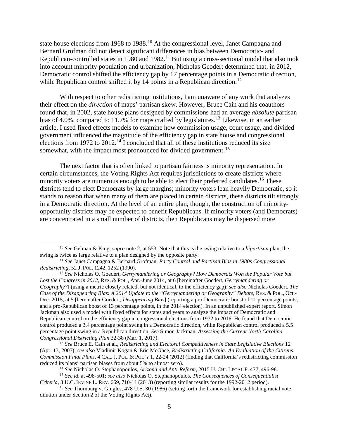state house elections from 1968 to 1988.<sup>[10](#page-6-0)</sup> At the congressional level, Janet Campagna and Bernard Grofman did not detect significant differences in bias between Democratic- and Republican-controlled states in 1980 and 1982.[11](#page-6-1) But using a cross-sectional model that also took into account minority population and urbanization, Nicholas Geodert determined that, in 2012, Democratic control shifted the efficiency gap by 17 percentage points in a Democratic direction, while Republican control shifted it by 14 points in a Republican direction.<sup>[12](#page-6-2)</sup>

<span id="page-6-7"></span>With respect to other redistricting institutions, I am unaware of any work that analyzes their effect on the *direction* of maps' partisan skew. However, Bruce Cain and his coauthors found that, in 2002, state house plans designed by commissions had an average *absolute* partisan bias of 4.0%, compared to 11.7% for maps crafted by legislatures.<sup>[13](#page-6-3)</sup> Likewise, in an earlier article, I used fixed effects models to examine how commission usage, court usage, and divided government influenced the magnitude of the efficiency gap in state house and congressional elections from 1972 to 2012.<sup>[14](#page-6-4)</sup> I concluded that all of these institutions reduced its size somewhat, with the impact most pronounced for divided government.<sup>[15](#page-6-5)</sup>

<span id="page-6-9"></span><span id="page-6-8"></span>The next factor that is often linked to partisan fairness is minority representation. In certain circumstances, the Voting Rights Act requires jurisdictions to create districts where minority voters are numerous enough to be able to elect their preferred candidates.<sup>[16](#page-6-6)</sup> These districts tend to elect Democrats by large margins; minority voters lean heavily Democratic, so it stands to reason that when many of them are placed in certain districts, these districts tilt strongly in a Democratic direction. At the level of an entire plan, though, the construction of minorityopportunity districts may be expected to benefit Republicans. If minority voters (and Democrats) are concentrated in a small number of districts, then Republicans may be dispersed more

<span id="page-6-0"></span> <sup>10</sup> *See* Gelman & King, *supra* note [2,](#page-2-7) at 553. Note that this is the swing relative to a *bipartisan* plan; the swing is twice as large relative to a plan designed by the opposite party.

<span id="page-6-1"></span><sup>11</sup> *See* Janet Campagna & Bernard Grofman, *Party Control and Partisan Bias in 1980s Congressional Redistricting*, 52 J. POL. 1242, 1252 (1990).

<span id="page-6-2"></span><sup>12</sup> *See* Nicholas O. Goedert, *Gerrymandering or Geography? How Democrats Won the Popular Vote but Lost the Congress in 2012*, RES. & POL., Apr.-June 2014, at 6 [hereinafter Goedert, *Gerrymandering or Geography?*] (using a metric closely related, but not identical, to the efficiency gap); *see also* Nicholas Goedert, *The Case of the Disappearing Bias: A 2014 Update to the "Gerrymandering or Geography" Debate, RES. & POL., Oct.-*Dec. 2015, at 5 [hereinafter Goedert, *Disappearing Bias*] (reporting a pro-Democratic boost of 11 percentage points, and a pro-Republican boost of 13 percentage points, in the 2014 election). In an unpublished expert report, Simon Jackman also used a model with fixed effects for states and years to analyze the impact of Democratic and Republican control on the efficiency gap in congressional elections from 1972 to 2016. He found that Democratic control produced a 3.4 percentage point swing in a Democratic direction, while Republican control produced a 5.5 percentage point swing in a Republican direction. *See* Simon Jackman, *Assessing the Current North Carolina Congressional Districting Plan* 32-38 (Mar. 1, 2017).

<span id="page-6-3"></span><sup>13</sup> *See* Bruce E. Cain et al., *Redistricting and Electoral Competitiveness in State Legislative Elections* 12 (Apr. 13, 2007); *see also* Vladimir Kogan & Eric McGhee, *Redistricting California: An Evaluation of the Citizens Commission Final Plans*, 4 CAL. J. POL. & POL'Y 1, 22-24 (2012) (finding that California's redistricting commission reduced its plans' partisan biases from about 5% to almost zero).

<sup>14</sup> *See* Nicholas O. Stephanopoulos, *Arizona and Anti-Reform*, 2015 U. CHI. LEGAL F. 477, 496-98.

<span id="page-6-5"></span><span id="page-6-4"></span><sup>15</sup> *See id.* at 498-501; *see also* Nicholas O. Stephanopoulos, *The Consequences of Consequentialist Criteria*, 3 U.C. IRVINE L. REV. 669, 710-11 (2013) (reporting similar results for the 1992-2012 period).

<span id="page-6-6"></span><sup>16</sup> *See* Thornburg v. Gingles, 478 U.S. 30 (1986) (setting forth the framework for establishing racial vote dilution under Section 2 of the Voting Rights Act).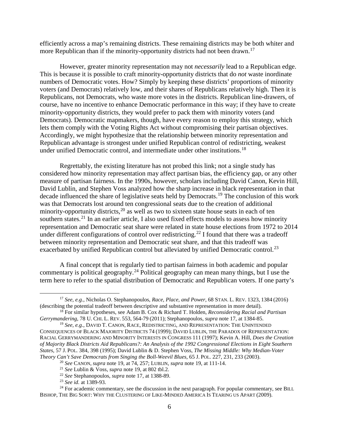<span id="page-7-0"></span>efficiently across a map's remaining districts. These remaining districts may be both whiter and more Republican than if the minority-opportunity districts had not been drawn.<sup>[17](#page-7-2)</sup>

However, greater minority representation may not *necessarily* lead to a Republican edge. This is because it is possible to craft minority-opportunity districts that do *not* waste inordinate numbers of Democratic votes. How? Simply by keeping these districts' proportions of minority voters (and Democrats) relatively low, and their shares of Republicans relatively high. Then it is Republicans, not Democrats, who waste more votes in the districts. Republican line-drawers, of course, have no incentive to enhance Democratic performance in this way; if they have to create minority-opportunity districts, they would prefer to pack them with minority voters (and Democrats). Democratic mapmakers, though, have every reason to employ this strategy, which lets them comply with the Voting Rights Act without compromising their partisan objectives. Accordingly, we might hypothesize that the relationship between minority representation and Republican advantage is strongest under unified Republican control of redistricting, weakest under unified Democratic control, and intermediate under other institutions.<sup>[18](#page-7-3)</sup>

<span id="page-7-10"></span><span id="page-7-1"></span>Regrettably, the existing literature has not probed this link; not a single study has considered how minority representation may affect partisan bias, the efficiency gap, or any other measure of partisan fairness. In the 1990s, however, scholars including David Canon, Kevin Hill, David Lublin, and Stephen Voss analyzed how the sharp increase in black representation in that decade influenced the share of legislative seats held by Democrats.[19](#page-7-4) The conclusion of this work was that Democrats lost around ten congressional seats due to the creation of additional minority-opportunity districts,<sup>[20](#page-7-5)</sup> as well as two to sixteen state house seats in each of ten southern states.<sup>[21](#page-7-6)</sup> In an earlier article, I also used fixed effects models to assess how minority representation and Democratic seat share were related in state house elections from 1972 to 2014 under different configurations of control over redistricting.<sup>[22](#page-7-7)</sup> I found that there was a tradeoff between minority representation and Democratic seat share, and that this tradeoff was exacerbated by unified Republican control but alleviated by unified Democratic control.<sup>[23](#page-7-8)</sup>

<span id="page-7-12"></span><span id="page-7-11"></span>A final concept that is regularly tied to partisan fairness in both academic and popular commentary is political geography.[24](#page-7-9) Political geography can mean many things, but I use the term here to refer to the spatial distribution of Democratic and Republican voters. If one party's

<span id="page-7-2"></span> <sup>17</sup> *See, e.g.*, Nicholas O. Stephanopoulos, *Race, Place, and Power*, 68 STAN. L. REV. 1323, <sup>1384</sup> (2016) (describing the potential tradeoff between descriptive and substantive representation in more detail).

<span id="page-7-3"></span><sup>18</sup> For similar hypotheses, see Adam B. Cox & Richard T. Holden, *Reconsidering Racial and Partisan Gerrymandering*, 78 U. CHI. L. REV. 553, 564-79 (2011); Stephanopoulos, *supra* not[e 17,](#page-7-0) at 1384-85.

<span id="page-7-4"></span><sup>19</sup> *See, e.g.*, DAVID T. CANON, RACE, REDISTRICTING, AND REPRESENTATION: THE UNINTENDED CONSEQUENCES OF BLACK MAJORITY DISTRICTS 74 (1999); DAVID LUBLIN, THE PARADOX OF REPRESENTATION: RACIAL GERRYMANDERING AND MINORITY INTERESTS IN CONGRESS 111 (1997); Kevin A. Hill, *Does the Creation of Majority Black Districts Aid Republicans?: An Analysis of the 1992 Congressional Elections in Eight Southern States*, 57 J. POL. 384, 398 (1995); David Lublin & D. Stephen Voss, *The Missing Middle: Why Median-Voter Theory Can't Save Democrats from Singing the Boll-Weevil Blues*, 65 J. POL. 227, 231, 233 (2003).

<sup>20</sup> *See* CANON, *supra* not[e 19,](#page-7-1) at 74, 257; LUBLIN, *supra* note [19,](#page-7-1) at 111-14.

<sup>21</sup> *See* Lublin & Voss, *supra* note [19,](#page-7-1) at 802 tbl.2.

<sup>22</sup> *See* Stephanopoulos, *supra* note [17,](#page-7-0) at 1388-89.

<sup>23</sup> *See id.* at 1389-93.

<span id="page-7-9"></span><span id="page-7-8"></span><span id="page-7-7"></span><span id="page-7-6"></span><span id="page-7-5"></span> $^{24}$  For academic commentary, see the discussion in the next paragraph. For popular commentary, see BILL BISHOP, THE BIG SORT: WHY THE CLUSTERING OF LIKE-MINDED AMERICA IS TEARING US APART (2009).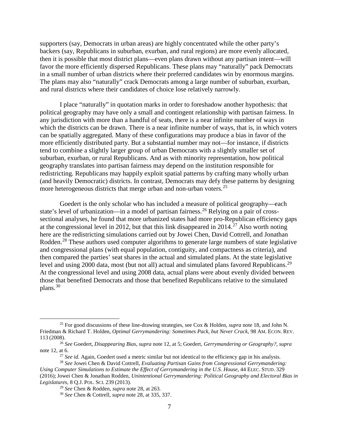supporters (say, Democrats in urban areas) are highly concentrated while the other party's backers (say, Republicans in suburban, exurban, and rural regions) are more evenly allocated, then it is possible that most district plans—even plans drawn without any partisan intent—will favor the more efficiently dispersed Republicans. These plans may "naturally" pack Democrats in a small number of urban districts where their preferred candidates win by enormous margins. The plans may also "naturally" crack Democrats among a large number of suburban, exurban, and rural districts where their candidates of choice lose relatively narrowly.

I place "naturally" in quotation marks in order to foreshadow another hypothesis: that political geography may have only a small and contingent relationship with partisan fairness. In any jurisdiction with more than a handful of seats, there is a near infinite number of ways in which the districts can be drawn. There is a near infinite number of ways, that is, in which voters can be spatially aggregated. Many of these configurations may produce a bias in favor of the more efficiently distributed party. But a substantial number may not—for instance, if districts tend to combine a slightly larger group of urban Democrats with a slightly smaller set of suburban, exurban, or rural Republicans. And as with minority representation, how political geography translates into partisan fairness may depend on the institution responsible for redistricting. Republicans may happily exploit spatial patterns by crafting many wholly urban (and heavily Democratic) districts. In contrast, Democrats may defy these patterns by designing more heterogeneous districts that merge urban and non-urban voters.<sup>[25](#page-8-1)</sup>

<span id="page-8-7"></span><span id="page-8-0"></span>Goedert is the only scholar who has included a measure of political geography—each state's level of urbanization—in a model of partisan fairness.<sup>[26](#page-8-2)</sup> Relying on a pair of crosssectional analyses, he found that more urbanized states had more pro-Republican efficiency gaps at the congressional level in 2012, but that this link disappeared in 2014.<sup>[27](#page-8-3)</sup> Also worth noting here are the redistricting simulations carried out by Jowei Chen, David Cottrell, and Jonathan Rodden.<sup>[28](#page-8-4)</sup> These authors used computer algorithms to generate large numbers of state legislative and congressional plans (with equal population, contiguity, and compactness as criteria), and then compared the parties' seat shares in the actual and simulated plans. At the state legislative level and using 2000 data, most (but not all) actual and simulated plans favored Republicans.<sup>[29](#page-8-5)</sup> At the congressional level and using 2008 data, actual plans were about evenly divided between those that benefited Democrats and those that benefited Republicans relative to the simulated plans.[30](#page-8-6)

<span id="page-8-8"></span><span id="page-8-1"></span> <sup>25</sup> For good discussions of these line-drawing strategies, see Cox & Holden, *supra* note [18,](#page-7-10) and John N. Friedman & Richard T. Holden, *Optimal Gerrymandering: Sometimes Pack, but Never Crack*, 98 AM. ECON. REV. 113 (2008).

<span id="page-8-2"></span><sup>26</sup> *See* Goedert, *Disappearing Bias*, *supra* note [12,](#page-6-7) at 5; Goedert, *Gerrymandering or Geography?*, *supra* not[e 12,](#page-6-7) at 6.<br><sup>27</sup> See id. Again, Goedert used a metric similar but not identical to the efficiency gap in his analysis.

<span id="page-8-6"></span><span id="page-8-5"></span><span id="page-8-4"></span><span id="page-8-3"></span><sup>&</sup>lt;sup>28</sup> See Jowei Chen & David Cottrell, *Evaluating Partisan Gains from Congressional Gerrymandering: Using Computer Simulations to Estimate the Effect of Gerrymandering in the U.S. House*, 44 ELEC. STUD. 329 (2016);Jowei Chen & Jonathan Rodden, *Unintentional Gerrymandering: Political Geography and Electoral Bias in Legislatures*, 8 Q.J. POL. SCI. 239 (2013).

<sup>29</sup> *See* Chen & Rodden, *supra* note [28,](#page-8-0) at 263.

<sup>30</sup> *See* Chen & Cottrell, *supra* note [28,](#page-8-0) at 335, 337.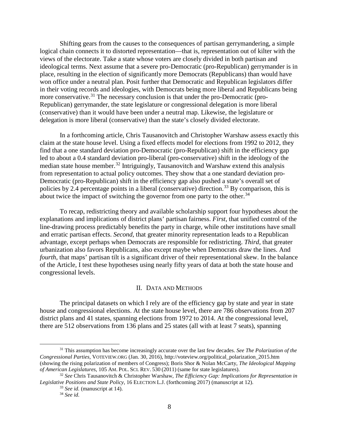Shifting gears from the causes to the consequences of partisan gerrymandering, a simple logical chain connects it to distorted representation—that is, representation out of kilter with the views of the electorate. Take a state whose voters are closely divided in both partisan and ideological terms. Next assume that a severe pro-Democratic (pro-Republican) gerrymander is in place, resulting in the election of significantly more Democrats (Republicans) than would have won office under a neutral plan. Posit further that Democratic and Republican legislators differ in their voting records and ideologies, with Democrats being more liberal and Republicans being more conservative.<sup>[31](#page-9-1)</sup> The necessary conclusion is that under the pro-Democratic (pro-Republican) gerrymander, the state legislature or congressional delegation is more liberal (conservative) than it would have been under a neutral map. Likewise, the legislature or delegation is more liberal (conservative) than the state's closely divided electorate.

<span id="page-9-5"></span>In a forthcoming article, Chris Tausanovitch and Christopher Warshaw assess exactly this claim at the state house level. Using a fixed effects model for elections from 1992 to 2012, they find that a one standard deviation pro-Democratic (pro-Republican) shift in the efficiency gap led to about a 0.4 standard deviation pro-liberal (pro-conservative) shift in the ideology of the median state house member.<sup>[32](#page-9-2)</sup> Intriguingly, Tausanovitch and Warshaw extend this analysis from representation to actual policy outcomes. They show that a one standard deviation pro-Democratic (pro-Republican) shift in the efficiency gap also pushed a state's overall set of policies by 2.4 percentage points in a liberal (conservative) direction.<sup>[33](#page-9-3)</sup> By comparison, this is about twice the impact of switching the governor from one party to the other.<sup>[34](#page-9-4)</sup>

To recap, redistricting theory and available scholarship support four hypotheses about the explanations and implications of district plans' partisan fairness. *First*, that unified control of the line-drawing process predictably benefits the party in charge, while other institutions have small and erratic partisan effects. *Second*, that greater minority representation leads to a Republican advantage, except perhaps when Democrats are responsible for redistricting. *Third*, that greater urbanization also favors Republicans, also except maybe when Democrats draw the lines. And *fourth*, that maps' partisan tilt is a significant driver of their representational skew. In the balance of the Article, I test these hypotheses using nearly fifty years of data at both the state house and congressional levels.

#### II. DATA AND METHODS

<span id="page-9-0"></span>The principal datasets on which I rely are of the efficiency gap by state and year in state house and congressional elections. At the state house level, there are 786 observations from 207 district plans and 41 states, spanning elections from 1972 to 2014. At the congressional level, there are 512 observations from 136 plans and 25 states (all with at least 7 seats), spanning

<span id="page-9-1"></span> <sup>31</sup> This assumption has become increasingly accurate over the last few decades. *See The Polarization of the Congressional Parties*, VOTEVIEW.ORG (Jan. 30, 2016), http://voteview.org/political\_polarization\_2015.htm (showing the rising polarization of members of Congress); Boris Shor & Nolan McCarty, *The Ideological Mapping of American Legislatures*, 105 AM. POL. SCI. REV. 530 (2011) (same for state legislatures).

<span id="page-9-4"></span><span id="page-9-3"></span><span id="page-9-2"></span><sup>32</sup> *See* Chris Tausanovitch & Christopher Warshaw, *The Efficiency Gap: Implications for Representation in Legislative Positions and State Policy*, 16 ELECTION L.J. (forthcoming 2017) (manuscript at 12).

<sup>33</sup> *See id.* (manuscript at 14).

<sup>34</sup> *See id.*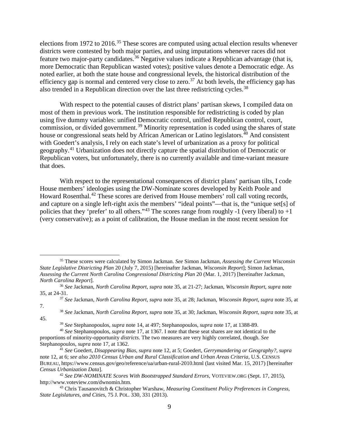<span id="page-10-0"></span>elections from 1972 to 2016.<sup>[35](#page-10-1)</sup> These scores are computed using actual election results whenever districts were contested by both major parties, and using imputations whenever races did not feature two major-party candidates.<sup>[36](#page-10-2)</sup> Negative values indicate a Republican advantage (that is, more Democratic than Republican wasted votes); positive values denote a Democratic edge. As noted earlier, at both the state house and congressional levels, the historical distribution of the efficiency gap is normal and centered very close to zero.<sup>[37](#page-10-3)</sup> At both levels, the efficiency gap has also trended in a Republican direction over the last three redistricting cycles.<sup>[38](#page-10-4)</sup>

<span id="page-10-11"></span>With respect to the potential causes of district plans' partisan skews, I compiled data on most of them in previous work. The institution responsible for redistricting is coded by plan using five dummy variables: unified Democratic control, unified Republican control, court, commission, or divided government.<sup>[39](#page-10-5)</sup> Minority representation is coded using the shares of state house or congressional seats held by African American or Latino legislators.<sup> $40$ </sup> And consistent with Goedert's analysis, I rely on each state's level of urbanization as a proxy for political geography.[41](#page-10-7) Urbanization does not directly capture the spatial distribution of Democratic or Republican voters, but unfortunately, there is no currently available and time-variant measure that does.

<span id="page-10-10"></span>With respect to the representational consequences of district plans' partisan tilts, I code House members' ideologies using the DW-Nominate scores developed by Keith Poole and Howard Rosenthal.<sup>[42](#page-10-8)</sup> These scores are derived from House members' roll call voting records, and capture on a single left-right axis the members' "ideal points"—that is, the "unique set[s] of policies that they 'prefer' to all others."<sup>[43](#page-10-9)</sup> The scores range from roughly -1 (very liberal) to  $+1$ (very conservative); as a point of calibration, the House median in the most recent session for

<span id="page-10-1"></span> <sup>35</sup> These scores were calculated by Simon Jackman. *See* Simon Jackman, *Assessing the Current Wisconsin State Legislative Districting Plan* 20 (July 7, 2015) [hereinafter Jackman, *Wisconsin Report*]; Simon Jackman, *Assessing the Current North Carolina Congressional Districting Plan* 20 (Mar. 1, 2017) [hereinafter Jackman, *North Carolina Report*].

<span id="page-10-2"></span><sup>36</sup> *See* Jackman, *North Carolina Report*, *supra* note [35,](#page-10-0) at 21-27; Jackman, *Wisconsin Report*, *supra* note [35,](#page-10-0) at 24-31.

<span id="page-10-3"></span><sup>37</sup> *See* Jackman, *North Carolina Report*, *supra* note [35,](#page-10-0) at 28; Jackman, *Wisconsin Report*, *supra* note [35,](#page-10-0) at 7.

<span id="page-10-4"></span><sup>38</sup> *See* Jackman, *North Carolina Report*, *supra* note [35,](#page-10-0) at 30; Jackman, *Wisconsin Report*, *supra* note [35,](#page-10-0) at 45.

<sup>39</sup> *See* Stephanopoulos, *supra* note [14,](#page-6-8) at 497; Stephanopoulos, *supra* note [17,](#page-7-0) at 1388-89.

<span id="page-10-6"></span><span id="page-10-5"></span><sup>40</sup> *See* Stephanopoulos, *supra* note [17,](#page-7-0) at 1367. I note that these seat shares are not identical to the proportions of minority-opportunity *districts*. The two measures are very highly correlated, though. *See* Stephanopoulos, *supra* note [17,](#page-7-0) at 1362.

<span id="page-10-7"></span><sup>41</sup> *See* Goedert, *Disappearing Bias*, *supra* note [12,](#page-6-7) at 5; Goedert, *Gerrymandering or Geography?*, *supra* not[e 12,](#page-6-7) at 6; *see also 2010 Census Urban and Rural Classification and Urban Areas Criteria*, U.S. CENSUS BUREAU, https://www.census.gov/geo/reference/ua/urban-rural-2010.html (last visited Mar. 15, 2017) [hereinafter *Census Urbanization Data*].

<span id="page-10-8"></span><sup>42</sup> *See DW-NOMINATE Scores With Bootstrapped Standard Errors*, VOTEVIEW.ORG (Sept. 17, 2015), http://www.voteview.com/dwnomin.htm.

<span id="page-10-9"></span><sup>43</sup> Chris Tausanovitch & Christopher Warshaw, *Measuring Constituent Policy Preferences in Congress, State Legislatures, and Cities*, 75 J. POL. 330, 331 (2013).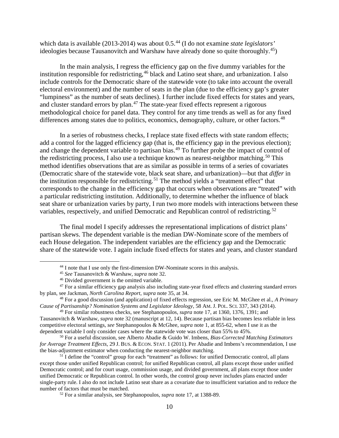which data is available (2013-2014) was about 0.5<sup>[44](#page-11-0)</sup> (I do not examine *state legislators'* ideologies because Tausanovitch and Warshaw have already done so quite thoroughly.<sup>45</sup>)

<span id="page-11-10"></span>In the main analysis, I regress the efficiency gap on the five dummy variables for the institution responsible for redistricting,  $46$  black and Latino seat share, and urbanization. I also include controls for the Democratic share of the statewide vote (to take into account the overall electoral environment) and the number of seats in the plan (due to the efficiency gap's greater "lumpiness" as the number of seats declines). I further include fixed effects for states and years, and cluster standard errors by plan.[47](#page-11-3) The state-year fixed effects represent a rigorous methodological choice for panel data. They control for any time trends as well as for any fixed differences among states due to politics, economics, demography, culture, or other factors.<sup>[48](#page-11-4)</sup>

<span id="page-11-9"></span>In a series of robustness checks, I replace state fixed effects with state random effects; add a control for the lagged efficiency gap (that is, the efficiency gap in the previous election); and change the dependent variable to partisan bias.<sup>[49](#page-11-5)</sup> To further probe the impact of control of the redistricting process, I also use a technique known as nearest-neighbor matching.<sup>[50](#page-11-6)</sup> This method identifies observations that are as similar as possible in terms of a series of covariates (Democratic share of the statewide vote, black seat share, and urbanization)—but that *differ* in the institution responsible for redistricting.<sup>[51](#page-11-7)</sup> The method yields a "treatment effect" that corresponds to the change in the efficiency gap that occurs when observations are "treated" with a particular redistricting institution. Additionally, to determine whether the influence of black seat share or urbanization varies by party, I run two more models with interactions between these variables, respectively, and unified Democratic and Republican control of redistricting.<sup>[52](#page-11-8)</sup>

The final model I specify addresses the representational implications of district plans' partisan skews. The dependent variable is the median DW-Nominate score of the members of each House delegation. The independent variables are the efficiency gap and the Democratic share of the statewide vote. I again include fixed effects for states and years, and cluster standard

<sup>&</sup>lt;sup>44</sup> I note that I use only the first-dimension DW-Nominate scores in this analysis.

<sup>45</sup> *See* Tausanovitch & Warshaw, *supra* note [32.](#page-9-5)

<sup>46</sup> Divided government is the omitted variable.

<span id="page-11-3"></span><span id="page-11-2"></span><span id="page-11-1"></span><span id="page-11-0"></span> $47$  For a similar efficiency gap analysis also including state-year fixed effects and clustering standard errors by plan, see Jackman, *North Carolina Report*, *supra* not[e 35,](#page-10-0) at 34.

<span id="page-11-4"></span><sup>48</sup> For a good discussion (and application) of fixed effects regression, see Eric M. McGhee et al., *A Primary Cause of Partisanship? Nomination Systems and Legislator Ideology*, 58 AM. J. POL. SCI. 337, 343 (2014).

<span id="page-11-5"></span><sup>49</sup> For similar robustness checks, see Stephanopoulos, *supra* not[e 17,](#page-7-0) at 1360, 1376, 1391; and Tausanovitch & Warshaw, *supra* note [32](#page-9-5) (manuscript at 12, 14). Because partisan bias becomes less reliable in less competitive electoral settings, *see* Stephanopoulos & McGhee, *supra* not[e 1,](#page-2-1) at 855-62, when I use it as the dependent variable I only consider cases where the statewide vote was closer than 55% to 45%.

<span id="page-11-6"></span><sup>50</sup> For a useful discussion, see Alberto Abadie & Guido W. Imbens, *Bias-Corrected Matching Estimators for Average Treatment Effects*, 29 J. BUS. & ECON. STAT. 1 (2011). Per Abadie and Imbens's recommendation, I use the bias-adjustment estimator when conducting the nearest-neighbor matching.

<span id="page-11-8"></span><span id="page-11-7"></span> $51$  I define the "control" group for each "treatment" as follows: for unified Democratic control, all plans except those under unified Republican control; for unified Republican control, all plans except those under unified Democratic control; and for court usage, commission usage, and divided government, all plans except those under unified Democratic or Republican control. In other words, the control group never includes plans enacted under single-party rule. I also do not include Latino seat share as a covariate due to insufficient variation and to reduce the number of factors that must be matched.

<sup>52</sup> For a similar analysis, see Stephanopoulos, *supra* note [17,](#page-7-0) at 1388-89.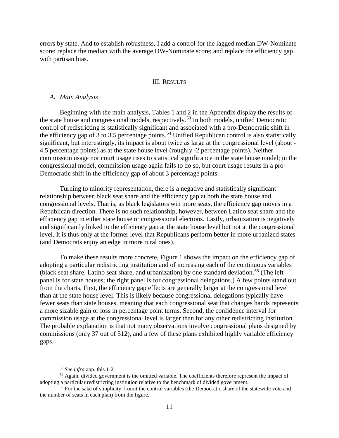errors by state. And to establish robustness, I add a control for the lagged median DW-Nominate score; replace the median with the average DW-Nominate score; and replace the efficiency gap with partisan bias.

#### III. RESULTS

#### <span id="page-12-1"></span><span id="page-12-0"></span>*A. Main Analysis*

Beginning with the main analysis, Tables 1 and 2 in the Appendix display the results of the state house and congressional models, respectively.[53](#page-12-2) In both models, unified Democratic control of redistricting is statistically significant and associated with a pro-Democratic shift in the efficiency gap of  $\overline{3}$  to  $\overline{3}$ .  $\overline{5}$  percentage points.<sup>[54](#page-12-3)</sup> Unified Republican control is also statistically significant, but interestingly, its impact is about twice as large at the congressional level (about - 4.5 percentage points) as at the state house level (roughly -2 percentage points). Neither commission usage nor court usage rises to statistical significance in the state house model; in the congressional model, commission usage again fails to do so, but court usage results in a pro-Democratic shift in the efficiency gap of about 3 percentage points.

Turning to minority representation, there is a negative and statistically significant relationship between black seat share and the efficiency gap at both the state house and congressional levels. That is, as black legislators win more seats, the efficiency gap moves in a Republican direction. There is no such relationship, however, between Latino seat share and the efficiency gap in either state house or congressional elections. Lastly, urbanization is negatively and significantly linked to the efficiency gap at the state house level but not at the congressional level. It is thus only at the former level that Republicans perform better in more urbanized states (and Democrats enjoy an edge in more rural ones).

To make these results more concrete, Figure 1 shows the impact on the efficiency gap of adopting a particular redistricting institution and of increasing each of the continuous variables (black seat share, Latino seat share, and urbanization) by one standard deviation.<sup>[55](#page-12-4)</sup> (The left panel is for state houses; the right panel is for congressional delegations.) A few points stand out from the charts. First, the efficiency gap effects are generally larger at the congressional level than at the state house level. This is likely because congressional delegations typically have fewer seats than state houses, meaning that each congressional seat that changes hands represents a more sizable gain or loss in percentage point terms. Second, the confidence interval for commission usage at the congressional level is larger than for any other redistricting institution. The probable explanation is that not many observations involve congressional plans designed by commissions (only 37 out of 512), and a few of these plans exhibited highly variable efficiency gaps.

 <sup>53</sup> *See infra* app. tbls.1-2.

<span id="page-12-3"></span><span id="page-12-2"></span><sup>&</sup>lt;sup>54</sup> Again, divided government is the omitted variable. The coefficients therefore represent the impact of adopting a particular redistricting institution relative to the benchmark of divided government.

<span id="page-12-4"></span><sup>&</sup>lt;sup>55</sup> For the sake of simplicity, I omit the control variables (the Democratic share of the statewide vote and the number of seats in each plan) from the figure.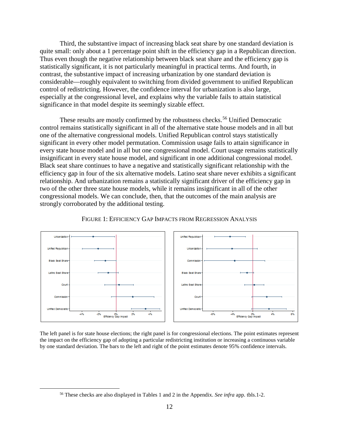Third, the substantive impact of increasing black seat share by one standard deviation is quite small: only about a 1 percentage point shift in the efficiency gap in a Republican direction. Thus even though the negative relationship between black seat share and the efficiency gap is statistically significant, it is not particularly meaningful in practical terms. And fourth, in contrast, the substantive impact of increasing urbanization by one standard deviation is considerable—roughly equivalent to switching from divided government to unified Republican control of redistricting. However, the confidence interval for urbanization is also large, especially at the congressional level, and explains why the variable fails to attain statistical significance in that model despite its seemingly sizable effect.

These results are mostly confirmed by the robustness checks.<sup>[56](#page-13-0)</sup> Unified Democratic control remains statistically significant in all of the alternative state house models and in all but one of the alternative congressional models. Unified Republican control stays statistically significant in every other model permutation. Commission usage fails to attain significance in every state house model and in all but one congressional model. Court usage remains statistically insignificant in every state house model, and significant in one additional congressional model. Black seat share continues to have a negative and statistically significant relationship with the efficiency gap in four of the six alternative models. Latino seat share never exhibits a significant relationship. And urbanization remains a statistically significant driver of the efficiency gap in two of the other three state house models, while it remains insignificant in all of the other congressional models. We can conclude, then, that the outcomes of the main analysis are strongly corroborated by the additional testing.



FIGURE 1: EFFICIENCY GAP IMPACTS FROM REGRESSION ANALYSIS

The left panel is for state house elections; the right panel is for congressional elections. The point estimates represent the impact on the efficiency gap of adopting a particular redistricting institution or increasing a continuous variable by one standard deviation. The bars to the left and right of the point estimates denote 95% confidence intervals.

<span id="page-13-0"></span> <sup>56</sup> These checks are also displayed in Tables 1 and 2 in the Appendix. *See infra* app. tbls.1-2.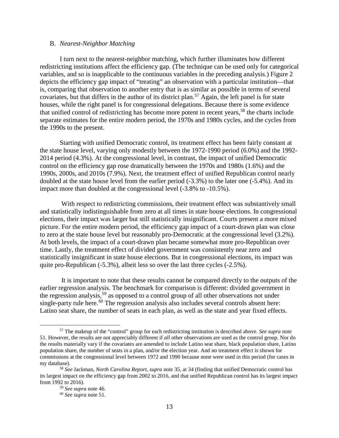#### <span id="page-14-0"></span>B. *Nearest-Neighbor Matching*

I turn next to the nearest-neighbor matching, which further illuminates how different redistricting institutions affect the efficiency gap. (The technique can be used only for categorical variables, and so is inapplicable to the continuous variables in the preceding analysis.) Figure 2 depicts the efficiency gap impact of "treating" an observation with a particular institution—that is, comparing that observation to another entry that is as similar as possible in terms of several covariates, but that differs in the author of its district plan.<sup>[57](#page-14-1)</sup> Again, the left panel is for state houses, while the right panel is for congressional delegations. Because there is some evidence that unified control of redistricting has become more potent in recent years,[58](#page-14-2) the charts include separate estimates for the entire modern period, the 1970s and 1980s cycles, and the cycles from the 1990s to the present.

Starting with unified Democratic control, its treatment effect has been fairly constant at the state house level, varying only modestly between the 1972-1990 period (6.0%) and the 1992- 2014 period (4.3%). At the congressional level, in contrast, the impact of unified Democratic control on the efficiency gap rose dramatically between the 1970s and 1980s (1.6%) and the 1990s, 2000s, and 2010s (7.9%). Next, the treatment effect of unified Republican control nearly doubled at the state house level from the earlier period (-3.3%) to the later one (-5.4%). And its impact more than doubled at the congressional level (-3.8% to -10.5%).

With respect to redistricting commissions, their treatment effect was substantively small and statistically indistinguishable from zero at all times in state house elections. In congressional elections, their impact was larger but still statistically insignificant. Courts present a more mixed picture. For the entire modern period, the efficiency gap impact of a court-drawn plan was close to zero at the state house level but reasonably pro-Democratic at the congressional level (3.2%). At both levels, the impact of a court-drawn plan became somewhat more pro-Republican over time. Lastly, the treatment effect of divided government was consistently near zero and statistically insignificant in state house elections. But in congressional elections, its impact was quite pro-Republican (-5.3%), albeit less so over the last three cycles (-2.5%).

It is important to note that these results cannot be compared directly to the outputs of the earlier regression analysis. The benchmark for comparison is different: divided government in the regression analysis,<sup>[59](#page-14-3)</sup> as opposed to a control group of all other observations not under single-party rule here.<sup>[60](#page-14-4)</sup> The regression analysis also includes several controls absent here: Latino seat share, the number of seats in each plan, as well as the state and year fixed effects.

<span id="page-14-1"></span> <sup>57</sup> The makeup of the "control" group for each redistricting institution is described above. *See supra* note [51.](#page-11-9) However, the results are not appreciably different if *all* other observations are used as the control group. Nor do the results materially vary if the covariates are amended to include Latino seat share, black population share, Latino population share, the number of seats in a plan, and/or the election year. And no treatment effect is shown for commissions at the congressional level between 1972 and 1990 because none were used in this period (for cases in my database).

<span id="page-14-4"></span><span id="page-14-3"></span><span id="page-14-2"></span><sup>58</sup> *See* Jackman, *North Carolina Report*, *supra* note [35,](#page-10-0) at 34 (finding that unified Democratic control has its largest impact on the efficiency gap from 2002 to 2016, and that unified Republican control has its largest impact from 1992 to 2016).

<sup>59</sup> *See supra* note [46.](#page-11-10)

<sup>60</sup> *See supra* note [51.](#page-11-9)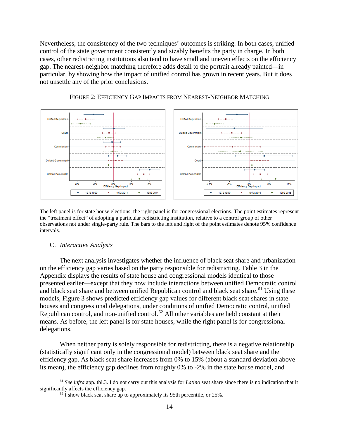Nevertheless, the consistency of the two techniques' outcomes is striking. In both cases, unified control of the state government consistently and sizably benefits the party in charge. In both cases, other redistricting institutions also tend to have small and uneven effects on the efficiency gap. The nearest-neighbor matching therefore adds detail to the portrait already painted—in particular, by showing how the impact of unified control has grown in recent years. But it does not unsettle any of the prior conclusions.





The left panel is for state house elections; the right panel is for congressional elections. The point estimates represent the "treatment effect" of adopting a particular redistricting institution, relative to a control group of other observations not under single-party rule. The bars to the left and right of the point estimates denote 95% confidence intervals.

#### <span id="page-15-0"></span>C. *Interactive Analysis*

The next analysis investigates whether the influence of black seat share and urbanization on the efficiency gap varies based on the party responsible for redistricting. Table 3 in the Appendix displays the results of state house and congressional models identical to those presented earlier—except that they now include interactions between unified Democratic control and black seat share and between unified Republican control and black seat share.<sup>[61](#page-15-1)</sup> Using these models, Figure 3 shows predicted efficiency gap values for different black seat shares in state houses and congressional delegations, under conditions of unified Democratic control, unified Republican control, and non-unified control.<sup>[62](#page-15-2)</sup> All other variables are held constant at their means. As before, the left panel is for state houses, while the right panel is for congressional delegations.

When neither party is solely responsible for redistricting, there is a negative relationship (statistically significant only in the congressional model) between black seat share and the efficiency gap. As black seat share increases from 0% to 15% (about a standard deviation above its mean), the efficiency gap declines from roughly 0% to -2% in the state house model, and

<span id="page-15-2"></span><span id="page-15-1"></span> <sup>61</sup> *See infra* app. tbl.3. I do not carry out this analysis for *Latino* seat share since there is no indication that it significantly affects the efficiency gap.

 $62$  I show black seat share up to approximately its 95th percentile, or 25%.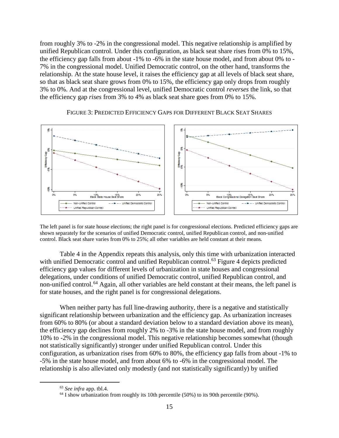from roughly 3% to -2% in the congressional model. This negative relationship is amplified by unified Republican control. Under this configuration, as black seat share rises from 0% to 15%, the efficiency gap falls from about -1% to -6% in the state house model, and from about 0% to - 7% in the congressional model. Unified Democratic control, on the other hand, transforms the relationship. At the state house level, it raises the efficiency gap at all levels of black seat share, so that as black seat share grows from 0% to 15%, the efficiency gap only drops from roughly 3% to 0%. And at the congressional level, unified Democratic control *reverses* the link, so that the efficiency gap *rises* from 3% to 4% as black seat share goes from 0% to 15%.



#### FIGURE 3: PREDICTED EFFICIENCY GAPS FOR DIFFERENT BLACK SEAT SHARES

The left panel is for state house elections; the right panel is for congressional elections. Predicted efficiency gaps are shown separately for the scenarios of unified Democratic control, unified Republican control, and non-unified control. Black seat share varies from 0% to 25%; all other variables are held constant at their means.

Table 4 in the Appendix repeats this analysis, only this time with urbanization interacted with unified Democratic control and unified Republican control.<sup>[63](#page-16-0)</sup> Figure 4 depicts predicted efficiency gap values for different levels of urbanization in state houses and congressional delegations, under conditions of unified Democratic control, unified Republican control, and non-unified control.<sup>[64](#page-16-1)</sup> Again, all other variables are held constant at their means, the left panel is for state houses, and the right panel is for congressional delegations.

When neither party has full line-drawing authority, there is a negative and statistically significant relationship between urbanization and the efficiency gap. As urbanization increases from 60% to 80% (or about a standard deviation below to a standard deviation above its mean), the efficiency gap declines from roughly 2% to -3% in the state house model, and from roughly 10% to -2% in the congressional model. This negative relationship becomes somewhat (though not statistically significantly) stronger under unified Republican control. Under this configuration, as urbanization rises from 60% to 80%, the efficiency gap falls from about -1% to -5% in the state house model, and from about 6% to -6% in the congressional model. The relationship is also alleviated only modestly (and not statistically significantly) by unified

<span id="page-16-0"></span> <sup>63</sup> *See infra* app. tbl.4.

<span id="page-16-1"></span><sup>&</sup>lt;sup>64</sup> I show urbanization from roughly its 10th percentile (50%) to its 90th percentile (90%).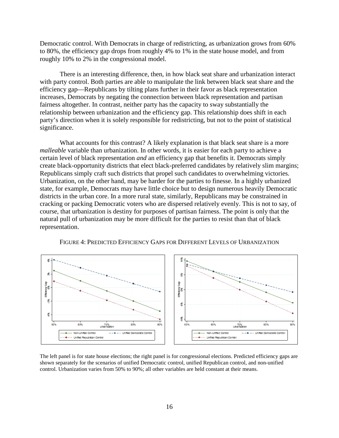Democratic control. With Democrats in charge of redistricting, as urbanization grows from 60% to 80%, the efficiency gap drops from roughly 4% to 1% in the state house model, and from roughly 10% to 2% in the congressional model.

There is an interesting difference, then, in how black seat share and urbanization interact with party control. Both parties are able to manipulate the link between black seat share and the efficiency gap—Republicans by tilting plans further in their favor as black representation increases, Democrats by negating the connection between black representation and partisan fairness altogether. In contrast, neither party has the capacity to sway substantially the relationship between urbanization and the efficiency gap. This relationship does shift in each party's direction when it is solely responsible for redistricting, but not to the point of statistical significance.

What accounts for this contrast? A likely explanation is that black seat share is a more *malleable* variable than urbanization. In other words, it is easier for each party to achieve a certain level of black representation *and* an efficiency gap that benefits it. Democrats simply create black-opportunity districts that elect black-preferred candidates by relatively slim margins; Republicans simply craft such districts that propel such candidates to overwhelming victories. Urbanization, on the other hand, may be harder for the parties to finesse. In a highly urbanized state, for example, Democrats may have little choice but to design numerous heavily Democratic districts in the urban core. In a more rural state, similarly, Republicans may be constrained in cracking or packing Democratic voters who are dispersed relatively evenly. This is not to say, of course, that urbanization is destiny for purposes of partisan fairness. The point is only that the natural pull of urbanization may be more difficult for the parties to resist than that of black representation.



FIGURE 4: PREDICTED EFFICIENCY GAPS FOR DIFFERENT LEVELS OF URBANIZATION

The left panel is for state house elections; the right panel is for congressional elections. Predicted efficiency gaps are shown separately for the scenarios of unified Democratic control, unified Republican control, and non-unified control. Urbanization varies from 50% to 90%; all other variables are held constant at their means.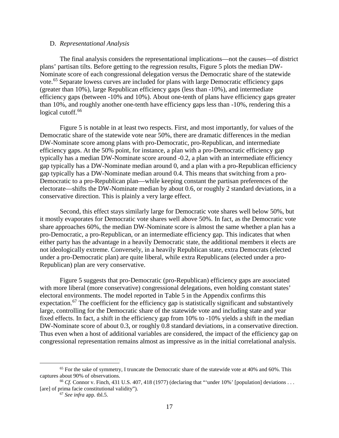#### <span id="page-18-0"></span>D. *Representational Analysis*

The final analysis considers the representational implications—not the causes—of district plans' partisan tilts. Before getting to the regression results, Figure 5 plots the median DW-Nominate score of each congressional delegation versus the Democratic share of the statewide vote.<sup>[65](#page-18-1)</sup> Separate lowess curves are included for plans with large Democratic efficiency gaps (greater than 10%), large Republican efficiency gaps (less than -10%), and intermediate efficiency gaps (between -10% and 10%). About one-tenth of plans have efficiency gaps greater than 10%, and roughly another one-tenth have efficiency gaps less than -10%, rendering this a logical cutoff.<sup>[66](#page-18-2)</sup>

Figure 5 is notable in at least two respects. First, and most importantly, for values of the Democratic share of the statewide vote near 50%, there are dramatic differences in the median DW-Nominate score among plans with pro-Democratic, pro-Republican, and intermediate efficiency gaps. At the 50% point, for instance, a plan with a pro-Democratic efficiency gap typically has a median DW-Nominate score around -0.2, a plan with an intermediate efficiency gap typically has a DW-Nominate median around 0, and a plan with a pro-Republican efficiency gap typically has a DW-Nominate median around 0.4. This means that switching from a pro-Democratic to a pro-Republican plan—while keeping constant the partisan preferences of the electorate—shifts the DW-Nominate median by about 0.6, or roughly 2 standard deviations, in a conservative direction. This is plainly a very large effect.

Second, this effect stays similarly large for Democratic vote shares well below 50%, but it mostly evaporates for Democratic vote shares well above 50%. In fact, as the Democratic vote share approaches 60%, the median DW-Nominate score is almost the same whether a plan has a pro-Democratic, a pro-Republican, or an intermediate efficiency gap. This indicates that when either party has the advantage in a heavily Democratic state, the additional members it elects are not ideologically extreme. Conversely, in a heavily Republican state, extra Democrats (elected under a pro-Democratic plan) are quite liberal, while extra Republicans (elected under a pro-Republican) plan are very conservative.

Figure 5 suggests that pro-Democratic (pro-Republican) efficiency gaps are associated with more liberal (more conservative) congressional delegations, even holding constant states' electoral environments. The model reported in Table 5 in the Appendix confirms this expectation.<sup>[67](#page-18-3)</sup> The coefficient for the efficiency gap is statistically significant and substantively large, controlling for the Democratic share of the statewide vote and including state and year fixed effects. In fact, a shift in the efficiency gap from 10% to -10% yields a shift in the median DW-Nominate score of about 0.3, or roughly 0.8 standard deviations, in a conservative direction. Thus even when a host of additional variables are considered, the impact of the efficiency gap on congressional representation remains almost as impressive as in the initial correlational analysis.

<span id="page-18-1"></span> $<sup>65</sup>$  For the sake of symmetry, I truncate the Democratic share of the statewide vote at 40% and 60%. This</sup> captures about 90% of observations.

<span id="page-18-3"></span><span id="page-18-2"></span><sup>&</sup>lt;sup>66</sup> *Cf.* Connor v. Finch, 431 U.S. 407, 418 (1977) (declaring that "'under 10%' [population] deviations . . . [are] of prima facie constitutional validity").

<sup>67</sup> *See infra* app. tbl.5.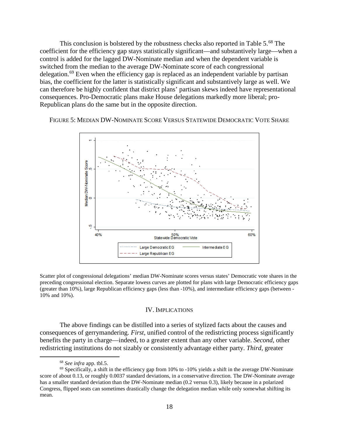This conclusion is bolstered by the robustness checks also reported in Table 5.<sup>[68](#page-19-1)</sup> The coefficient for the efficiency gap stays statistically significant—and substantively large—when a control is added for the lagged DW-Nominate median and when the dependent variable is switched from the median to the average DW-Nominate score of each congressional delegation.<sup>[69](#page-19-2)</sup> Even when the efficiency gap is replaced as an independent variable by partisan bias, the coefficient for the latter is statistically significant and substantively large as well. We can therefore be highly confident that district plans' partisan skews indeed have representational consequences. Pro-Democratic plans make House delegations markedly more liberal; pro-Republican plans do the same but in the opposite direction.

FIGURE 5: MEDIAN DW-NOMINATE SCORE VERSUS STATEWIDE DEMOCRATIC VOTE SHARE



Scatter plot of congressional delegations' median DW-Nominate scores versus states' Democratic vote shares in the preceding congressional election. Separate lowess curves are plotted for plans with large Democratic efficiency gaps (greater than 10%), large Republican efficiency gaps (less than -10%), and intermediate efficiency gaps (between - 10% and 10%).

## IV. IMPLICATIONS

<span id="page-19-0"></span>The above findings can be distilled into a series of stylized facts about the causes and consequences of gerrymandering. *First*, unified control of the redistricting process significantly benefits the party in charge—indeed, to a greater extent than any other variable. *Second*, other redistricting institutions do not sizably or consistently advantage either party. *Third*, greater

 <sup>68</sup> *See infra* app. tbl.5.

<span id="page-19-2"></span><span id="page-19-1"></span> $^{69}$  Specifically, a shift in the efficiency gap from 10% to -10% yields a shift in the average DW-Nominate score of about 0.13, or roughly 0.0037 standard deviations, in a conservative direction. The DW-Nominate average has a smaller standard deviation than the DW-Nominate median (0.2 versus 0.3), likely because in a polarized Congress, flipped seats can sometimes drastically change the delegation median while only somewhat shifting its mean.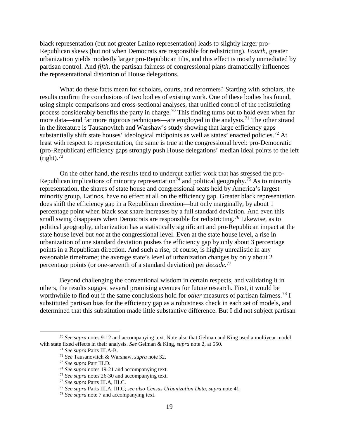black representation (but not greater Latino representation) leads to slightly larger pro-Republican skews (but not when Democrats are responsible for redistricting). *Fourth*, greater urbanization yields modestly larger pro-Republican tilts, and this effect is mostly unmediated by partisan control. And *fifth*, the partisan fairness of congressional plans dramatically influences the representational distortion of House delegations.

What do these facts mean for scholars, courts, and reformers? Starting with scholars, the results confirm the conclusions of two bodies of existing work. One of these bodies has found, using simple comparisons and cross-sectional analyses, that unified control of the redistricting process considerably benefits the party in charge.<sup>[70](#page-20-0)</sup> This finding turns out to hold even when far more data—and far more rigorous techniques—are employed in the analysis.<sup>[71](#page-20-1)</sup> The other strand in the literature is Tausanovitch and Warshaw's study showing that large efficiency gaps substantially shift state houses' ideological midpoints as well as states' enacted policies.<sup>[72](#page-20-2)</sup> At least with respect to representation, the same is true at the congressional level: pro-Democratic (pro-Republican) efficiency gaps strongly push House delegations' median ideal points to the left  $(right)$ .<sup>[73](#page-20-3)</sup>

On the other hand, the results tend to undercut earlier work that has stressed the pro-Republican implications of minority representation<sup>[74](#page-20-4)</sup> and political geography.<sup>[75](#page-20-5)</sup> As to minority representation, the shares of state house and congressional seats held by America's largest minority group, Latinos, have no effect at all on the efficiency gap. Greater black representation does shift the efficiency gap in a Republican direction—but only marginally, by about 1 percentage point when black seat share increases by a full standard deviation. And even this small swing disappears when Democrats are responsible for redistricting.<sup>[76](#page-20-6)</sup> Likewise, as to political geography, urbanization has a statistically significant and pro-Republican impact at the state house level but *not* at the congressional level. Even at the state house level, a rise in urbanization of one standard deviation pushes the efficiency gap by only about 3 percentage points in a Republican direction. And such a rise, of course, is highly unrealistic in any reasonable timeframe; the average state's level of urbanization changes by only about 2 percentage points (or one-seventh of a standard deviation) per *decade*. [77](#page-20-7)

Beyond challenging the conventional wisdom in certain respects, and validating it in others, the results suggest several promising avenues for future research. First, it would be worthwhile to find out if the same conclusions hold for *other* measures of partisan fairness.[78](#page-20-8) I substituted partisan bias for the efficiency gap as a robustness check in each set of models, and determined that this substitution made little substantive difference. But I did not subject partisan

<span id="page-20-6"></span><span id="page-20-5"></span><span id="page-20-4"></span><span id="page-20-3"></span><span id="page-20-2"></span><span id="page-20-1"></span><span id="page-20-0"></span> <sup>70</sup> *See supra* notes [9-](#page-5-3)[12](#page-6-7) and accompanying text. Note also that Gelman and King used a multiyear model with state fixed effects in their analysis. *See* Gelman & King, *supra* note [2,](#page-2-7) at 550.

<sup>71</sup> *See supra* Parts III.A-B.

<sup>72</sup> *See* Tausanovitch & Warshaw, *supra* note [32.](#page-9-5)

<sup>73</sup> *See supra* Part III.D.

<sup>74</sup> *See supra* notes [19](#page-7-1)[-21](#page-7-11) and accompanying text.

<sup>75</sup> *See supra* notes [26](#page-8-7)[-30](#page-8-8) and accompanying text.

<sup>76</sup> *See supra* Parts III.A, III.C.

<span id="page-20-7"></span><sup>77</sup> *See supra* Parts III.A, III.C; *see also Census Urbanization Data*, *supra* note [41.](#page-10-10)

<span id="page-20-8"></span><sup>78</sup> *See supra* note [7](#page-5-4) and accompanying text.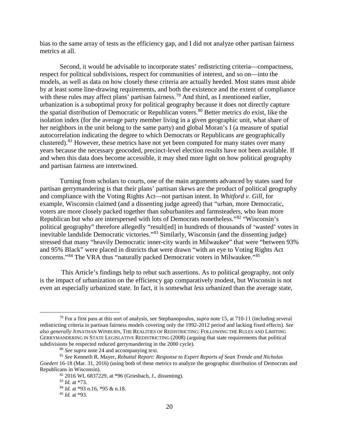bias to the same array of tests as the efficiency gap, and I did not analyze other partisan fairness metrics at all.

Second, it would be advisable to incorporate states' redistricting criteria—compactness, respect for political subdivisions, respect for communities of interest, and so on—into the models, as well as data on how closely these criteria are actually heeded. Most states must abide by at least some line-drawing requirements, and both the existence and the extent of compliance with these rules may affect plans' partisan fairness.<sup>[79](#page-21-0)</sup> And third, as I mentioned earlier, urbanization is a suboptimal proxy for political geography because it does not directly capture the spatial distribution of Democratic or Republican voters.[80](#page-21-1) Better metrics *do* exist, like the isolation index (for the average party member living in a given geographic unit, what share of her neighbors in the unit belong to the same party) and global Moran's I (a measure of spatial autocorrelation indicating the degree to which Democrats or Republicans are geographically clustered).<sup>[81](#page-21-2)</sup> However, these metrics have not yet been computed for many states over many years because the necessary geocoded, precinct-level election results have not been available. If and when this data does become accessible, it may shed more light on how political geography and partisan fairness are intertwined.

Turning from scholars to courts, one of the main arguments advanced by states sued for partisan gerrymandering is that their plans' partisan skews are the product of political geography and compliance with the Voting Rights Act—not partisan intent. In *Whitford v. Gill*, for example, Wisconsin claimed (and a dissenting judge agreed) that "urban, more Democratic, voters are more closely packed together than suburbanites and farmsteaders, who lean more Republican but who are interspersed with lots of Democrats nonetheless."[82](#page-21-3) "Wisconsin's political geography" therefore allegedly "result[ed] in hundreds of thousands of 'wasted' votes in inevitable landslide Democratic victories."[83](#page-21-4) Similarly, Wisconsin (and the dissenting judge) stressed that many "heavily Democratic inner-city wards in Milwaukee" that were "between 93% and 95% Black" were placed in districts that were drawn "with an eye to Voting Rights Act concerns."[84](#page-21-5) The VRA thus "naturally packed Democratic voters in Milwaukee."[85](#page-21-6)

This Article's findings help to rebut such assertions. As to political geography, not only is the impact of urbanization on the efficiency gap comparatively modest, but Wisconsin is not even an especially urbanized state. In fact, it is somewhat *less* urbanized than the average state,

<span id="page-21-0"></span> <sup>79</sup> For a first pass at this sort of analysis, see Stephanopoulos, *supra* note [15,](#page-6-9) at 710-11 (including several redistricting criteria in partisan fairness models covering only the 1992-2012 period and lacking fixed effects). *See also generally* JONATHAN WINBURN, THE REALITIES OF REDISTRICTING: FOLLOWING THE RULES AND LIMITING GERRYMANDERING IN STATE LEGISLATIVE REDISTRICTING (2008) (arguing that state requirements that political subdivisions be respected reduced gerrymandering in the 2000 cycle).

<sup>80</sup> *See supra* note [24](#page-7-12) and accompanying text.

<span id="page-21-6"></span><span id="page-21-5"></span><span id="page-21-4"></span><span id="page-21-3"></span><span id="page-21-2"></span><span id="page-21-1"></span><sup>81</sup> *See* Kenneth R. Mayer, *Rebuttal Report: Response to Expert Reports of Sean Trende and Nicholas Goedert* 16-18 (Mar. 31, 2016) (using both of these metrics to analyze the geographic distribution of Democrats and Republicans in Wisconsin).

<sup>82</sup> 2016 WL 6837229, at \*96 (Griesbach, J., dissenting).

<sup>83</sup> *Id.* at \*73.

<sup>84</sup> *Id.* at \*93 n.16, \*95 & n.18.

<sup>85</sup> *Id.* at \*93.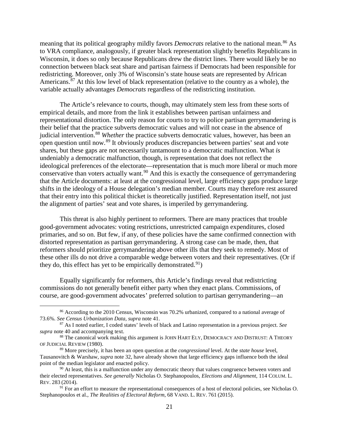meaning that its political geography mildly favors *Democrats* relative to the national mean.<sup>[86](#page-22-0)</sup> As to VRA compliance, analogously, if greater black representation slightly benefits Republicans in Wisconsin, it does so only because Republicans drew the district lines. There would likely be no connection between black seat share and partisan fairness if Democrats had been responsible for redistricting. Moreover, only 3% of Wisconsin's state house seats are represented by African Americans.<sup>[87](#page-22-1)</sup> At this low level of black representation (relative to the country as a whole), the variable actually advantages *Democrats* regardless of the redistricting institution.

The Article's relevance to courts, though, may ultimately stem less from these sorts of empirical details, and more from the link it establishes between partisan unfairness and representational distortion. The only reason for courts to try to police partisan gerrymandering is their belief that the practice subverts democratic values and will not cease in the absence of judicial intervention.<sup>[88](#page-22-2)</sup> *Whether* the practice subverts democratic values, however, has been an open question until now.[89](#page-22-3) It obviously produces discrepancies between parties' seat and vote shares, but these gaps are not necessarily tantamount to a democratic malfunction. What *is* undeniably a democratic malfunction, though, is representation that does not reflect the ideological preferences of the electorate—representation that is much more liberal or much more conservative than voters actually want.<sup>[90](#page-22-4)</sup> And this is exactly the consequence of gerrymandering that the Article documents: at least at the congressional level, large efficiency gaps produce large shifts in the ideology of a House delegation's median member. Courts may therefore rest assured that their entry into this political thicket is theoretically justified. Representation itself, not just the alignment of parties' seat and vote shares, is imperiled by gerrymandering.

This threat is also highly pertinent to reformers. There are many practices that trouble good-government advocates: voting restrictions, unrestricted campaign expenditures, closed primaries, and so on. But few, if any, of these policies have the same confirmed connection with distorted representation as partisan gerrymandering. A strong case can be made, then, that reformers should prioritize gerrymandering above other ills that they seek to remedy. Most of these other ills do not drive a comparable wedge between voters and their representatives. (Or if they do, this effect has yet to be empirically demonstrated.<sup>91</sup>)

<span id="page-22-6"></span>Equally significantly for reformers, this Article's findings reveal that redistricting commissions do not generally benefit either party when they enact plans. Commissions, of course, are good-government advocates' preferred solution to partisan gerrymandering—an

<span id="page-22-0"></span> <sup>86</sup> According to the 2010 Census, Wisconsin was 70.2% urbanized, compared to a national average of 73.6%. *See Census Urbanization Data*, *supra* note [41.](#page-10-10)

<span id="page-22-1"></span><sup>87</sup> As I noted earlier, I coded states' levels of black and Latino representation in a previous project. *See* 

<span id="page-22-2"></span><sup>&</sup>lt;sup>88</sup> The canonical work making this argument is JOHN HART ELY, DEMOCRACY AND DISTRUST: A THEORY OF JUDICIAL REVIEW (1980).

<span id="page-22-3"></span><sup>89</sup> More precisely, it has been an open question at the *congressional* level. At the *state house* level, Tausanovitch & Warshaw, *supra* note [32,](#page-9-5) have already shown that large efficiency gaps influence both the ideal point of the median legislator and enacted policy.

<span id="page-22-4"></span> $90$  At least, this is a malfunction under any democratic theory that values congruence between voters and their elected representatives. *See generally* Nicholas O. Stephanopoulos, *Elections and Alignment*, 114 COLUM. L. REV. 283 (2014).

<span id="page-22-5"></span> $91$  For an effort to measure the representational consequences of a host of electoral policies, see Nicholas O. Stephanopoulos et al., *The Realities of Electoral Reform*, 68 VAND. L. REV. 761 (2015).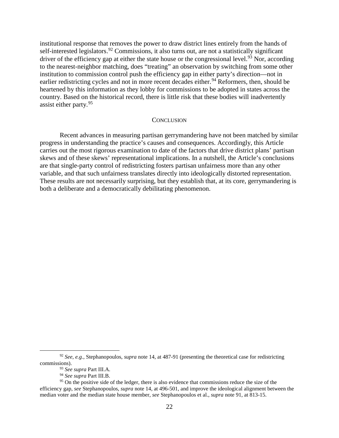institutional response that removes the power to draw district lines entirely from the hands of self-interested legislators.<sup>[92](#page-23-1)</sup> Commissions, it also turns out, are not a statistically significant driver of the efficiency gap at either the state house or the congressional level.<sup>[93](#page-23-2)</sup> Nor, according to the nearest-neighbor matching, does "treating" an observation by switching from some other institution to commission control push the efficiency gap in either party's direction—not in earlier redistricting cycles and not in more recent decades either.<sup>[94](#page-23-3)</sup> Reformers, then, should be heartened by this information as they lobby for commissions to be adopted in states across the country. Based on the historical record, there is little risk that these bodies will inadvertently assist either party.<sup>[95](#page-23-4)</sup>

#### **CONCLUSION**

<span id="page-23-0"></span>Recent advances in measuring partisan gerrymandering have not been matched by similar progress in understanding the practice's causes and consequences. Accordingly, this Article carries out the most rigorous examination to date of the factors that drive district plans' partisan skews and of these skews' representational implications. In a nutshell, the Article's conclusions are that single-party control of redistricting fosters partisan unfairness more than any other variable, and that such unfairness translates directly into ideologically distorted representation. These results are not necessarily surprising, but they establish that, at its core, gerrymandering is both a deliberate and a democratically debilitating phenomenon.

<span id="page-23-2"></span><span id="page-23-1"></span> <sup>92</sup> *See, e.g.*, Stephanopoulos, *supra* note [14,](#page-6-8) at 487-91 (presenting the theoretical case for redistricting commissions).

<sup>93</sup> *See supra* Part III.A.

<sup>94</sup> *See supra* Part III.B.

<span id="page-23-4"></span><span id="page-23-3"></span><sup>&</sup>lt;sup>95</sup> On the positive side of the ledger, there is also evidence that commissions reduce the size of the efficiency gap, *see* Stephanopoulos, *supra* note [14,](#page-6-8) at 496-501, and improve the ideological alignment between the median voter and the median state house member, *see* Stephanopoulos et al., *supra* note [91,](#page-22-6) at 813-15.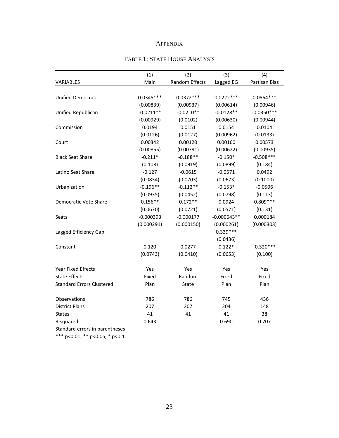## **APPENDIX**

|                                  | (1)         | (2)            | (3)           | (4)           |
|----------------------------------|-------------|----------------|---------------|---------------|
| <b>VARIABLES</b>                 | Main        | Random Effects | Lagged EG     | Partisan Bias |
|                                  |             |                |               |               |
| <b>Unified Democratic</b>        | $0.0345***$ | $0.0372***$    | $0.0222***$   | $0.0564***$   |
|                                  | (0.00839)   | (0.00937)      | (0.00614)     | (0.00946)     |
| Unified Republican               | $-0.0211**$ | $-0.0210**$    | $-0.0128**$   | $-0.0350***$  |
|                                  | (0.00929)   | (0.0102)       | (0.00630)     | (0.00944)     |
| Commission                       | 0.0194      | 0.0151         | 0.0154        | 0.0104        |
|                                  | (0.0126)    | (0.0127)       | (0.00962)     | (0.0133)      |
| Court                            | 0.00342     | 0.00120        | 0.00160       | 0.00573       |
|                                  | (0.00855)   | (0.00791)      | (0.00622)     | (0.00935)     |
| <b>Black Seat Share</b>          | $-0.211*$   | $-0.188**$     | $-0.150*$     | $-0.508***$   |
|                                  | (0.108)     | (0.0919)       | (0.0899)      | (0.184)       |
| Latino Seat Share                | $-0.127$    | $-0.0615$      | $-0.0571$     | 0.0492        |
|                                  | (0.0834)    | (0.0703)       | (0.0673)      | (0.1000)      |
| Urbanization                     | $-0.196**$  | $-0.112**$     | $-0.153*$     | $-0.0506$     |
|                                  | (0.0935)    | (0.0452)       | (0.0798)      | (0.113)       |
| Democratic Vote Share            | $0.156**$   | $0.172**$      | 0.0924        | $0.809***$    |
|                                  | (0.0670)    | (0.0721)       | (0.0571)      | (0.131)       |
| Seats                            | $-0.000393$ | $-0.000177$    | $-0.000643**$ | 0.000184      |
|                                  | (0.000291)  | (0.000150)     | (0.000261)    | (0.000303)    |
| Lagged Efficiency Gap            |             |                | $0.339***$    |               |
|                                  |             |                | (0.0436)      |               |
| Constant                         | 0.120       | 0.0277         | $0.122*$      | $-0.320***$   |
|                                  | (0.0743)    | (0.0410)       | (0.0653)      | (0.100)       |
| <b>Year Fixed Effects</b>        | Yes         | Yes            | Yes           | Yes           |
| <b>State Effects</b>             | Fixed       | Random         | Fixed         | Fixed         |
| <b>Standard Errors Clustered</b> | Plan        | <b>State</b>   | Plan          | Plan          |
| Observations                     | 786         | 786            | 745           | 436           |
| <b>District Plans</b>            | 207         | 207            | 204           | 148           |
| <b>States</b>                    | 41          | 41             | 41            | 38            |
| R-squared                        | 0.643       |                | 0.690         | 0.707         |

# TABLE 1: STATE HOUSE ANALYSIS

Standard errors in parentheses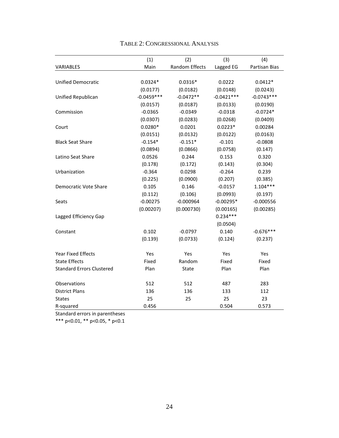|                                  | (1)          | (2)                   | (3)          | (4)           |
|----------------------------------|--------------|-----------------------|--------------|---------------|
| VARIABLES                        | Main         | <b>Random Effects</b> | Lagged EG    | Partisan Bias |
|                                  |              |                       |              |               |
| <b>Unified Democratic</b>        | $0.0324*$    | $0.0316*$             | 0.0222       | $0.0412*$     |
|                                  | (0.0177)     | (0.0182)              | (0.0148)     | (0.0243)      |
| Unified Republican               | $-0.0459***$ | $-0.0472**$           | $-0.0421***$ | $-0.0743***$  |
|                                  | (0.0157)     | (0.0187)              | (0.0133)     | (0.0190)      |
| Commission                       | $-0.0365$    | $-0.0349$             | $-0.0318$    | $-0.0724*$    |
|                                  | (0.0307)     | (0.0283)              | (0.0268)     | (0.0409)      |
| Court                            | $0.0280*$    | 0.0201                | $0.0223*$    | 0.00284       |
|                                  | (0.0151)     | (0.0132)              | (0.0122)     | (0.0163)      |
| <b>Black Seat Share</b>          | $-0.154*$    | $-0.151*$             | $-0.101$     | $-0.0808$     |
|                                  | (0.0894)     | (0.0866)              | (0.0758)     | (0.147)       |
| Latino Seat Share                | 0.0526       | 0.244                 | 0.153        | 0.320         |
|                                  | (0.178)      | (0.172)               | (0.143)      | (0.304)       |
| Urbanization                     | $-0.364$     | 0.0298                | $-0.264$     | 0.239         |
|                                  | (0.225)      | (0.0900)              | (0.207)      | (0.385)       |
| <b>Democratic Vote Share</b>     | 0.105        | 0.146                 | $-0.0157$    | $1.104***$    |
|                                  | (0.112)      | (0.106)               | (0.0993)     | (0.197)       |
| <b>Seats</b>                     | $-0.00275$   | $-0.000964$           | $-0.00295*$  | $-0.000556$   |
|                                  | (0.00207)    | (0.000730)            | (0.00165)    | (0.00285)     |
| Lagged Efficiency Gap            |              |                       | $0.234***$   |               |
|                                  |              |                       | (0.0504)     |               |
| Constant                         | 0.102        | $-0.0797$             | 0.140        | $-0.676***$   |
|                                  | (0.139)      | (0.0733)              | (0.124)      | (0.237)       |
|                                  |              |                       |              |               |
| <b>Year Fixed Effects</b>        | Yes          | Yes                   | Yes          | Yes           |
| <b>State Effects</b>             | Fixed        | Random                | Fixed        | Fixed         |
| <b>Standard Errors Clustered</b> | Plan         | State                 | Plan         | Plan          |
|                                  |              |                       |              |               |
| Observations                     | 512          | 512                   | 487          | 283           |
| <b>District Plans</b>            | 136          | 136                   | 133          | 112           |
| <b>States</b>                    | 25           | 25                    | 25           | 23            |
| R-squared                        | 0.456        |                       | 0.504        | 0.573         |

# TABLE 2: CONGRESSIONAL ANALYSIS

Standard errors in parentheses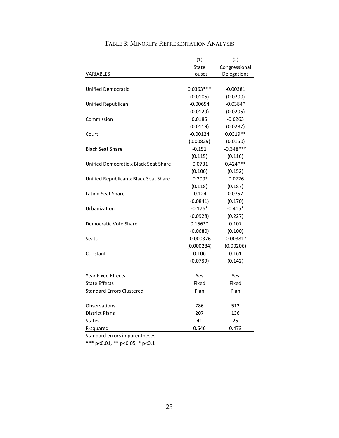|                                       | (1)         | (2)           |
|---------------------------------------|-------------|---------------|
|                                       | State       | Congressional |
| VARIABLES                             | Houses      | Delegations   |
|                                       |             |               |
| <b>Unified Democratic</b>             | $0.0363***$ | $-0.00381$    |
|                                       | (0.0105)    | (0.0200)      |
| Unified Republican                    | $-0.00654$  | $-0.0384*$    |
|                                       | (0.0129)    | (0.0205)      |
| Commission                            | 0.0185      | $-0.0263$     |
|                                       | (0.0119)    | (0.0287)      |
| Court                                 | $-0.00124$  | $0.0319**$    |
|                                       | (0.00829)   | (0.0150)      |
| <b>Black Seat Share</b>               | $-0.151$    | $-0.348***$   |
|                                       | (0.115)     | (0.116)       |
| Unified Democratic x Black Seat Share | $-0.0731$   | $0.424***$    |
|                                       | (0.106)     | (0.152)       |
| Unified Republican x Black Seat Share | $-0.209*$   | $-0.0776$     |
|                                       | (0.118)     | (0.187)       |
| Latino Seat Share                     | $-0.124$    | 0.0757        |
|                                       | (0.0841)    | (0.170)       |
| Urbanization                          | $-0.176*$   | $-0.415*$     |
|                                       | (0.0928)    | (0.227)       |
| <b>Democratic Vote Share</b>          | $0.156**$   | 0.107         |
|                                       | (0.0680)    | (0.100)       |
| <b>Seats</b>                          | $-0.000376$ | $-0.00381*$   |
|                                       | (0.000284)  | (0.00206)     |
| Constant                              | 0.106       | 0.161         |
|                                       | (0.0739)    | (0.142)       |
|                                       |             |               |
| <b>Year Fixed Effects</b>             | Yes         | Yes           |
| <b>State Effects</b>                  | Fixed       | Fixed         |
| <b>Standard Errors Clustered</b>      | Plan        | Plan          |
|                                       |             |               |
| Observations                          | 786         | 512           |
| <b>District Plans</b>                 | 207         | 136           |
| <b>States</b>                         | 41          | 25            |
| R-squared                             | 0.646       | 0.473         |
| Standard errors in parentheses        |             |               |

## TABLE 3: MINORITY REPRESENTATION ANALYSIS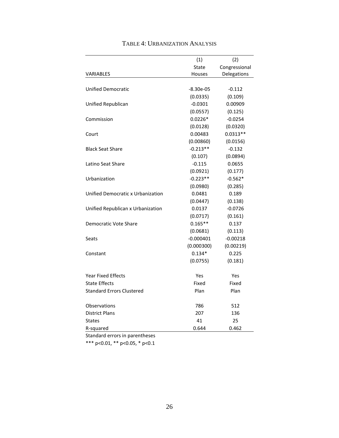|                                   | (1)          | (2)           |  |
|-----------------------------------|--------------|---------------|--|
|                                   | <b>State</b> | Congressional |  |
| VARIABLES                         | Houses       | Delegations   |  |
|                                   |              |               |  |
| <b>Unified Democratic</b>         | -8.30e-05    | $-0.112$      |  |
|                                   | (0.0335)     | (0.109)       |  |
| Unified Republican                | $-0.0301$    | 0.00909       |  |
|                                   | (0.0557)     | (0.125)       |  |
| Commission                        | $0.0226*$    | $-0.0254$     |  |
|                                   | (0.0128)     | (0.0320)      |  |
| Court                             | 0.00483      | $0.0313**$    |  |
|                                   | (0.00860)    | (0.0156)      |  |
| <b>Black Seat Share</b>           | $-0.213**$   | $-0.132$      |  |
|                                   | (0.107)      | (0.0894)      |  |
| Latino Seat Share                 | $-0.115$     | 0.0655        |  |
|                                   | (0.0921)     | (0.177)       |  |
| Urbanization                      | $-0.223**$   | $-0.562*$     |  |
|                                   | (0.0980)     | (0.285)       |  |
| Unified Democratic x Urbanization | 0.0481       | 0.189         |  |
|                                   | (0.0447)     | (0.138)       |  |
| Unified Republican x Urbanization | 0.0137       | $-0.0726$     |  |
|                                   | (0.0717)     | (0.161)       |  |
| <b>Democratic Vote Share</b>      | $0.165**$    | 0.137         |  |
|                                   | (0.0681)     | (0.113)       |  |
| <b>Seats</b>                      | $-0.000401$  | $-0.00218$    |  |
|                                   | (0.000300)   | (0.00219)     |  |
| Constant                          | $0.134*$     | 0.225         |  |
|                                   | (0.0755)     | (0.181)       |  |
|                                   |              |               |  |
| <b>Year Fixed Effects</b>         | Yes          | Yes           |  |
| <b>State Effects</b>              | Fixed        | Fixed         |  |
| <b>Standard Errors Clustered</b>  | Plan         | Plan          |  |
| Observations                      | 786          | 512           |  |
| <b>District Plans</b>             | 207          | 136           |  |
| <b>States</b>                     | 41           | 25            |  |
| R-squared                         | 0.644        | 0.462         |  |
| Standard errors in parentheses    |              |               |  |

# TABLE 4: URBANIZATION ANALYSIS